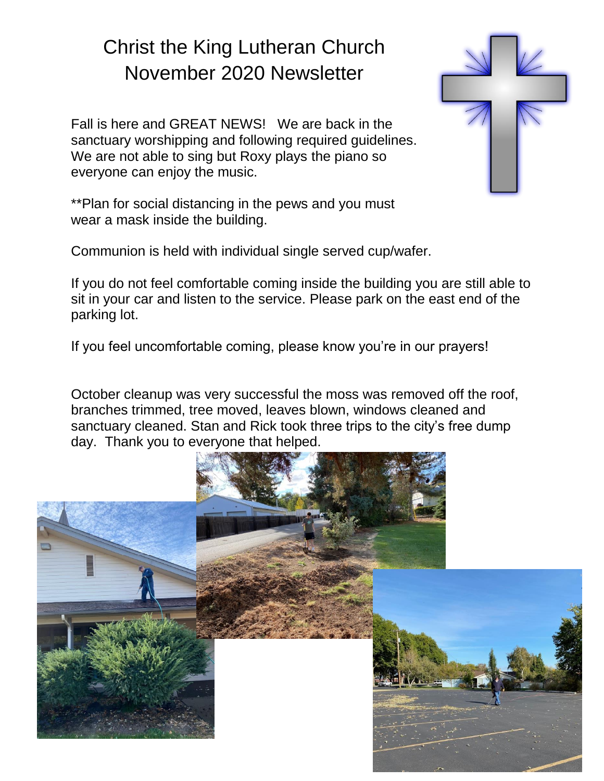# Christ the King Lutheran Church November 2020 Newsletter

Fall is here and GREAT NEWS! We are back in the sanctuary worshipping and following required guidelines. We are not able to sing but Roxy plays the piano so everyone can enjoy the music.

\*\*Plan for social distancing in the pews and you must wear a mask inside the building.

Communion is held with individual single served cup/wafer.

If you do not feel comfortable coming inside the building you are still able to sit in your car and listen to the service. Please park on the east end of the parking lot.

If you feel uncomfortable coming, please know you're in our prayers!

October cleanup was very successful the moss was removed off the roof, branches trimmed, tree moved, leaves blown, windows cleaned and sanctuary cleaned. Stan and Rick took three trips to the city's free dump day. Thank you to everyone that helped.



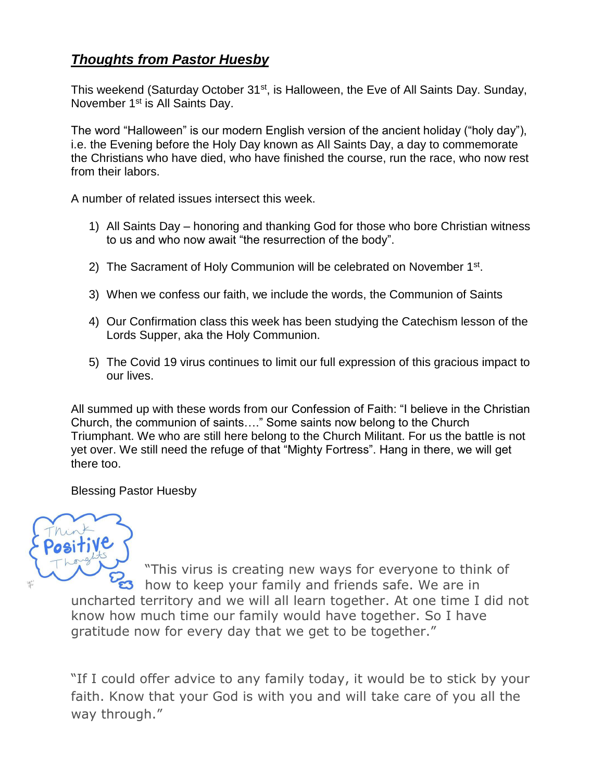## *Thoughts from Pastor Huesby*

This weekend (Saturday October 31<sup>st</sup>, is Halloween, the Eve of All Saints Day. Sunday, November 1<sup>st</sup> is All Saints Day.

The word "Halloween" is our modern English version of the ancient holiday ("holy day"), i.e. the Evening before the Holy Day known as All Saints Day, a day to commemorate the Christians who have died, who have finished the course, run the race, who now rest from their labors.

A number of related issues intersect this week.

- 1) All Saints Day honoring and thanking God for those who bore Christian witness to us and who now await "the resurrection of the body".
- 2) The Sacrament of Holy Communion will be celebrated on November 1<sup>st</sup>.
- 3) When we confess our faith, we include the words, the Communion of Saints
- 4) Our Confirmation class this week has been studying the Catechism lesson of the Lords Supper, aka the Holy Communion.
- 5) The Covid 19 virus continues to limit our full expression of this gracious impact to our lives.

All summed up with these words from our Confession of Faith: "I believe in the Christian Church, the communion of saints…." Some saints now belong to the Church Triumphant. We who are still here belong to the Church Militant. For us the battle is not yet over. We still need the refuge of that "Mighty Fortress". Hang in there, we will get there too.

Blessing Pastor Huesby



"This virus is creating new ways for everyone to think of s how to keep your family and friends safe. We are in uncharted territory and we will all learn together. At one time I did not know how much time our family would have together. So I have gratitude now for every day that we get to be together."

"If I could offer advice to any family today, it would be to stick by your faith. Know that your God is with you and will take care of you all the way through."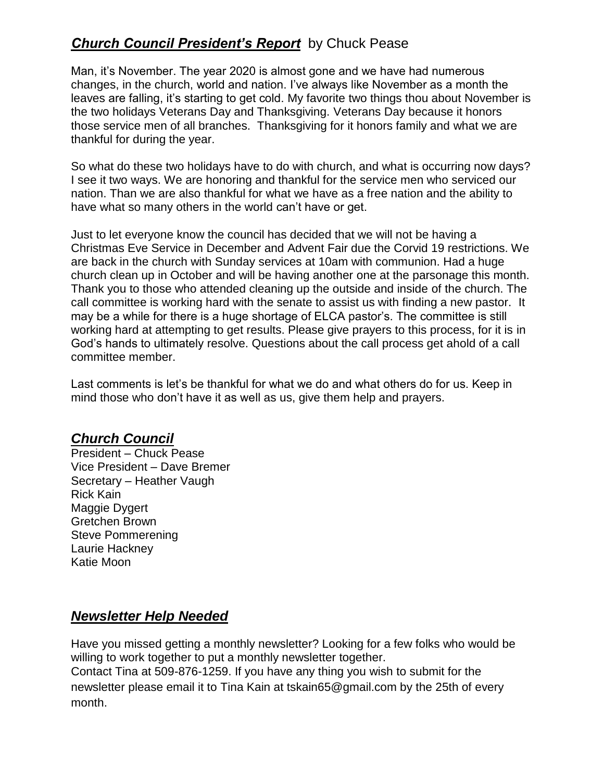## *Church Council President's Report* by Chuck Pease

Man, it's November. The year 2020 is almost gone and we have had numerous changes, in the church, world and nation. I've always like November as a month the leaves are falling, it's starting to get cold. My favorite two things thou about November is the two holidays Veterans Day and Thanksgiving. Veterans Day because it honors those service men of all branches. Thanksgiving for it honors family and what we are thankful for during the year.

So what do these two holidays have to do with church, and what is occurring now days? I see it two ways. We are honoring and thankful for the service men who serviced our nation. Than we are also thankful for what we have as a free nation and the ability to have what so many others in the world can't have or get.

Just to let everyone know the council has decided that we will not be having a Christmas Eve Service in December and Advent Fair due the Corvid 19 restrictions. We are back in the church with Sunday services at 10am with communion. Had a huge church clean up in October and will be having another one at the parsonage this month. Thank you to those who attended cleaning up the outside and inside of the church. The call committee is working hard with the senate to assist us with finding a new pastor. It may be a while for there is a huge shortage of ELCA pastor's. The committee is still working hard at attempting to get results. Please give prayers to this process, for it is in God's hands to ultimately resolve. Questions about the call process get ahold of a call committee member.

Last comments is let's be thankful for what we do and what others do for us. Keep in mind those who don't have it as well as us, give them help and prayers.

#### *Church Council*

President – Chuck Pease Vice President – Dave Bremer Secretary – Heather Vaugh Rick Kain Maggie Dygert Gretchen Brown Steve Pommerening Laurie Hackney Katie Moon

### *Newsletter Help Needed*

Have you missed getting a monthly newsletter? Looking for a few folks who would be willing to work together to put a monthly newsletter together.

Contact Tina at 509-876-1259. If you have any thing you wish to submit for the newsletter please email it to Tina Kain at tskain65@gmail.com by the 25th of every month.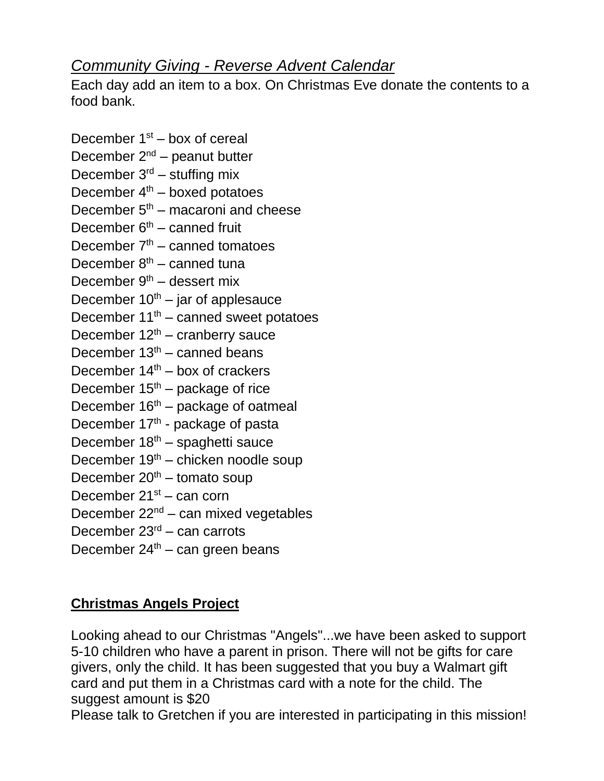# *Community Giving - Reverse Advent Calendar*

Each day add an item to a box. On Christmas Eve donate the contents to a food bank.

December  $1<sup>st</sup>$  – box of cereal December  $2^{nd}$  – peanut butter December  $3<sup>rd</sup>$  – stuffing mix December  $4<sup>th</sup>$  – boxed potatoes December  $5<sup>th</sup>$  – macaroni and cheese December  $6<sup>th</sup>$  – canned fruit December  $7<sup>th</sup>$  – canned tomatoes December  $8<sup>th</sup>$  – canned tuna December  $9<sup>th</sup>$  – dessert mix December  $10^{th}$  – jar of applesauce December  $11^{th}$  – canned sweet potatoes December  $12<sup>th</sup>$  – cranberry sauce December  $13<sup>th</sup>$  – canned beans December  $14<sup>th</sup>$  – box of crackers December  $15<sup>th</sup>$  – package of rice December  $16<sup>th</sup>$  – package of oatmeal December 17<sup>th</sup> - package of pasta December  $18<sup>th</sup>$  – spaghetti sauce December  $19<sup>th</sup>$  – chicken noodle soup December  $20<sup>th</sup>$  – tomato soup December 21<sup>st</sup> – can corn December  $22^{nd}$  – can mixed vegetables December  $23<sup>rd</sup>$  – can carrots December  $24<sup>th</sup>$  – can green beans

# **Christmas Angels Project**

Looking ahead to our Christmas "Angels"...we have been asked to support 5-10 children who have a parent in prison. There will not be gifts for care givers, only the child. It has been suggested that you buy a Walmart gift card and put them in a Christmas card with a note for the child. The suggest amount is \$20

Please talk to Gretchen if you are interested in participating in this mission!